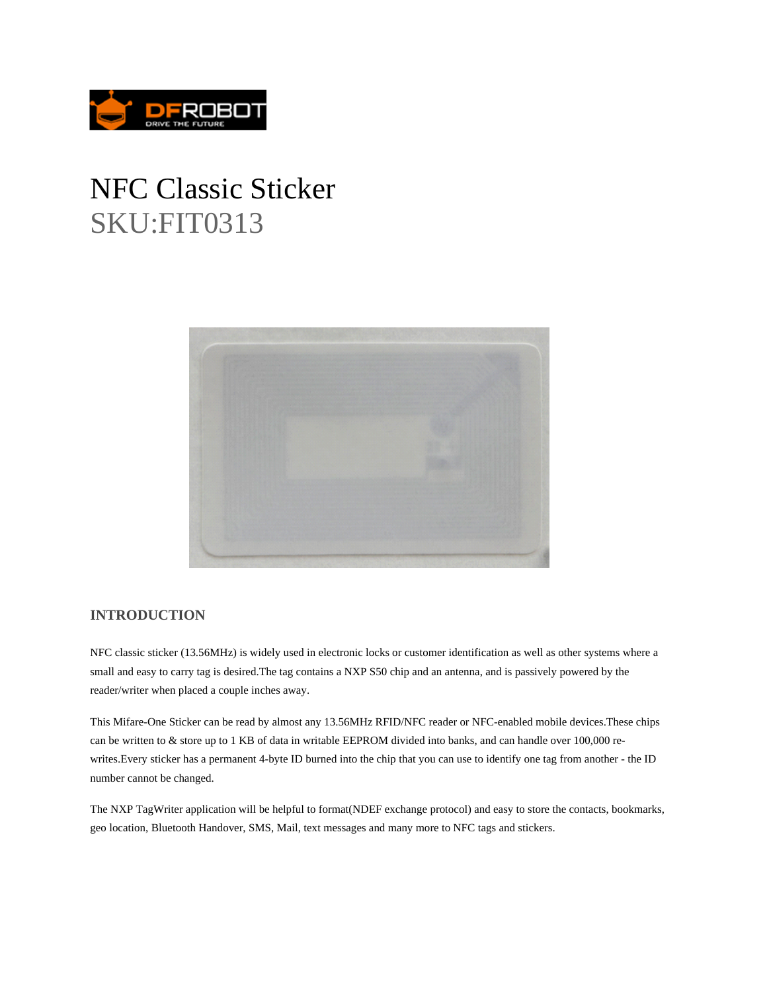

# NFC Classic Sticker SKU:FIT0313



### **INTRODUCTION**

NFC classic sticker (13.56MHz) is widely used in electronic locks or customer identification as well as other systems where a small and easy to carry tag is desired.The tag contains a NXP S50 chip and an antenna, and is passively powered by the reader/writer when placed a couple inches away.

This Mifare-One Sticker can be read by almost any 13.56MHz RFID/NFC reader or NFC-enabled mobile devices.These chips can be written to & store up to 1 KB of data in writable EEPROM divided into banks, and can handle over 100,000 rewrites.Every sticker has a permanent 4-byte ID burned into the chip that you can use to identify one tag from another - the ID number cannot be changed.

The NXP TagWriter application will be helpful to format(NDEF exchange protocol) and easy to store the contacts, bookmarks, geo location, Bluetooth Handover, SMS, Mail, text messages and many more to NFC tags and stickers.